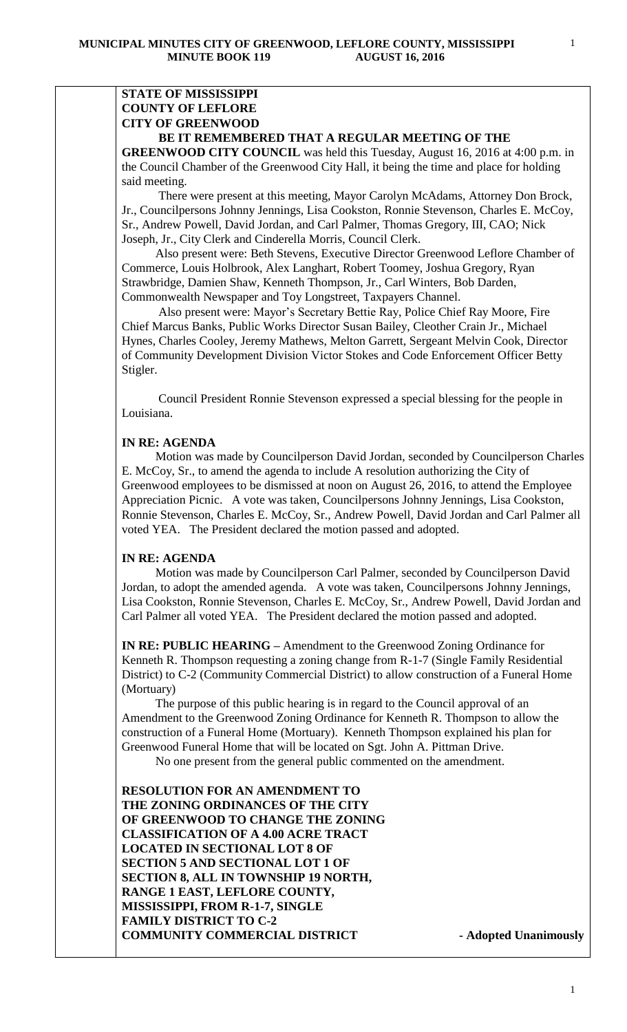# **STATE OF MISSISSIPPI COUNTY OF LEFLORE CITY OF GREENWOOD**

### **BE IT REMEMBERED THAT A REGULAR MEETING OF THE**

**GREENWOOD CITY COUNCIL** was held this Tuesday, August 16, 2016 at 4:00 p.m. in the Council Chamber of the Greenwood City Hall, it being the time and place for holding said meeting.

There were present at this meeting, Mayor Carolyn McAdams, Attorney Don Brock, Jr., Councilpersons Johnny Jennings, Lisa Cookston, Ronnie Stevenson, Charles E. McCoy, Sr., Andrew Powell, David Jordan, and Carl Palmer, Thomas Gregory, III, CAO; Nick Joseph, Jr., City Clerk and Cinderella Morris, Council Clerk.

 Also present were: Beth Stevens, Executive Director Greenwood Leflore Chamber of Commerce, Louis Holbrook, Alex Langhart, Robert Toomey, Joshua Gregory, Ryan Strawbridge, Damien Shaw, Kenneth Thompson, Jr., Carl Winters, Bob Darden, Commonwealth Newspaper and Toy Longstreet, Taxpayers Channel.

 Also present were: Mayor's Secretary Bettie Ray, Police Chief Ray Moore, Fire Chief Marcus Banks, Public Works Director Susan Bailey, Cleother Crain Jr., Michael Hynes, Charles Cooley, Jeremy Mathews, Melton Garrett, Sergeant Melvin Cook, Director of Community Development Division Victor Stokes and Code Enforcement Officer Betty Stigler.

 Council President Ronnie Stevenson expressed a special blessing for the people in Louisiana.

#### **IN RE: AGENDA**

 Motion was made by Councilperson David Jordan, seconded by Councilperson Charles E. McCoy, Sr., to amend the agenda to include A resolution authorizing the City of Greenwood employees to be dismissed at noon on August 26, 2016, to attend the Employee Appreciation Picnic. A vote was taken, Councilpersons Johnny Jennings, Lisa Cookston, Ronnie Stevenson, Charles E. McCoy, Sr., Andrew Powell, David Jordan and Carl Palmer all voted YEA. The President declared the motion passed and adopted.

#### **IN RE: AGENDA**

 Motion was made by Councilperson Carl Palmer, seconded by Councilperson David Jordan, to adopt the amended agenda. A vote was taken, Councilpersons Johnny Jennings, Lisa Cookston, Ronnie Stevenson, Charles E. McCoy, Sr., Andrew Powell, David Jordan and Carl Palmer all voted YEA. The President declared the motion passed and adopted.

**IN RE: PUBLIC HEARING –** Amendment to the Greenwood Zoning Ordinance for Kenneth R. Thompson requesting a zoning change from R-1-7 (Single Family Residential District) to C-2 (Community Commercial District) to allow construction of a Funeral Home (Mortuary)

 The purpose of this public hearing is in regard to the Council approval of an Amendment to the Greenwood Zoning Ordinance for Kenneth R. Thompson to allow the construction of a Funeral Home (Mortuary). Kenneth Thompson explained his plan for Greenwood Funeral Home that will be located on Sgt. John A. Pittman Drive.

No one present from the general public commented on the amendment.

**RESOLUTION FOR AN AMENDMENT TO THE ZONING ORDINANCES OF THE CITY OF GREENWOOD TO CHANGE THE ZONING CLASSIFICATION OF A 4.00 ACRE TRACT LOCATED IN SECTIONAL LOT 8 OF SECTION 5 AND SECTIONAL LOT 1 OF SECTION 8, ALL IN TOWNSHIP 19 NORTH, RANGE 1 EAST, LEFLORE COUNTY, MISSISSIPPI, FROM R-1-7, SINGLE FAMILY DISTRICT TO C-2 COMMUNITY COMMERCIAL DISTRICT - Adopted Unanimously**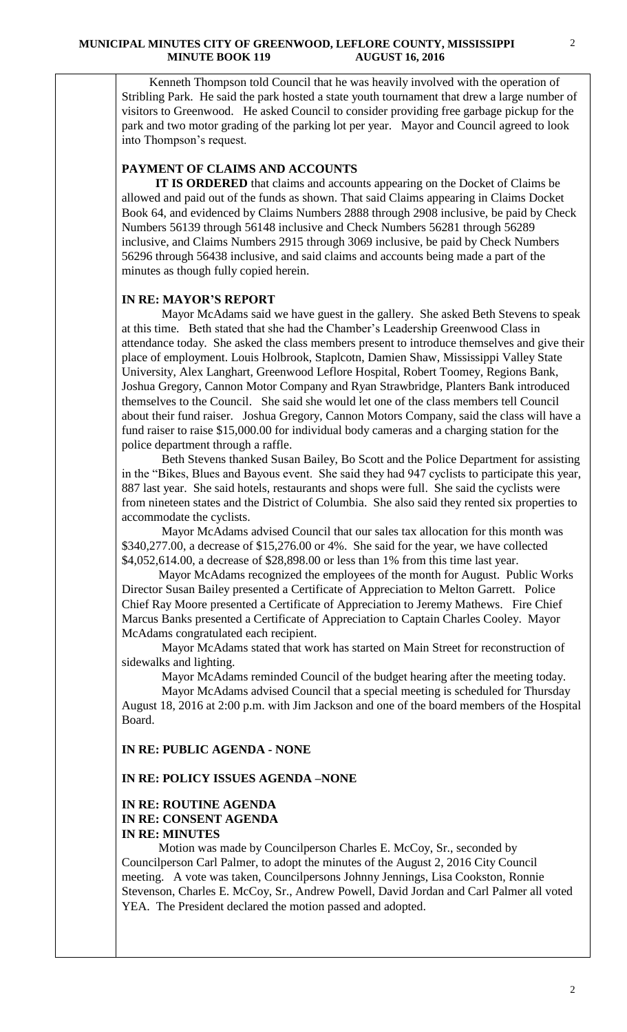Kenneth Thompson told Council that he was heavily involved with the operation of Stribling Park. He said the park hosted a state youth tournament that drew a large number of visitors to Greenwood. He asked Council to consider providing free garbage pickup for the park and two motor grading of the parking lot per year. Mayor and Council agreed to look into Thompson's request.

## **PAYMENT OF CLAIMS AND ACCOUNTS**

 **IT IS ORDERED** that claims and accounts appearing on the Docket of Claims be allowed and paid out of the funds as shown. That said Claims appearing in Claims Docket Book 64, and evidenced by Claims Numbers 2888 through 2908 inclusive, be paid by Check Numbers 56139 through 56148 inclusive and Check Numbers 56281 through 56289 inclusive, and Claims Numbers 2915 through 3069 inclusive, be paid by Check Numbers 56296 through 56438 inclusive, and said claims and accounts being made a part of the minutes as though fully copied herein.

### **IN RE: MAYOR'S REPORT**

 Mayor McAdams said we have guest in the gallery. She asked Beth Stevens to speak at this time. Beth stated that she had the Chamber's Leadership Greenwood Class in attendance today. She asked the class members present to introduce themselves and give their place of employment. Louis Holbrook, Staplcotn, Damien Shaw, Mississippi Valley State University, Alex Langhart, Greenwood Leflore Hospital, Robert Toomey, Regions Bank, Joshua Gregory, Cannon Motor Company and Ryan Strawbridge, Planters Bank introduced themselves to the Council. She said she would let one of the class members tell Council about their fund raiser. Joshua Gregory, Cannon Motors Company, said the class will have a fund raiser to raise \$15,000.00 for individual body cameras and a charging station for the police department through a raffle.

 Beth Stevens thanked Susan Bailey, Bo Scott and the Police Department for assisting in the "Bikes, Blues and Bayous event. She said they had 947 cyclists to participate this year, 887 last year. She said hotels, restaurants and shops were full. She said the cyclists were from nineteen states and the District of Columbia. She also said they rented six properties to accommodate the cyclists.

 Mayor McAdams advised Council that our sales tax allocation for this month was \$340,277.00, a decrease of \$15,276.00 or 4%. She said for the year, we have collected \$4,052,614.00, a decrease of \$28,898.00 or less than 1% from this time last year.

 Mayor McAdams recognized the employees of the month for August. Public Works Director Susan Bailey presented a Certificate of Appreciation to Melton Garrett. Police Chief Ray Moore presented a Certificate of Appreciation to Jeremy Mathews. Fire Chief Marcus Banks presented a Certificate of Appreciation to Captain Charles Cooley. Mayor McAdams congratulated each recipient.

 Mayor McAdams stated that work has started on Main Street for reconstruction of sidewalks and lighting.

Mayor McAdams reminded Council of the budget hearing after the meeting today.

 Mayor McAdams advised Council that a special meeting is scheduled for Thursday August 18, 2016 at 2:00 p.m. with Jim Jackson and one of the board members of the Hospital Board.

**IN RE: PUBLIC AGENDA - NONE**

### **IN RE: POLICY ISSUES AGENDA –NONE**

### **IN RE: ROUTINE AGENDA IN RE: CONSENT AGENDA IN RE: MINUTES**

 Motion was made by Councilperson Charles E. McCoy, Sr., seconded by Councilperson Carl Palmer, to adopt the minutes of the August 2, 2016 City Council meeting. A vote was taken, Councilpersons Johnny Jennings, Lisa Cookston, Ronnie Stevenson, Charles E. McCoy, Sr., Andrew Powell, David Jordan and Carl Palmer all voted YEA. The President declared the motion passed and adopted.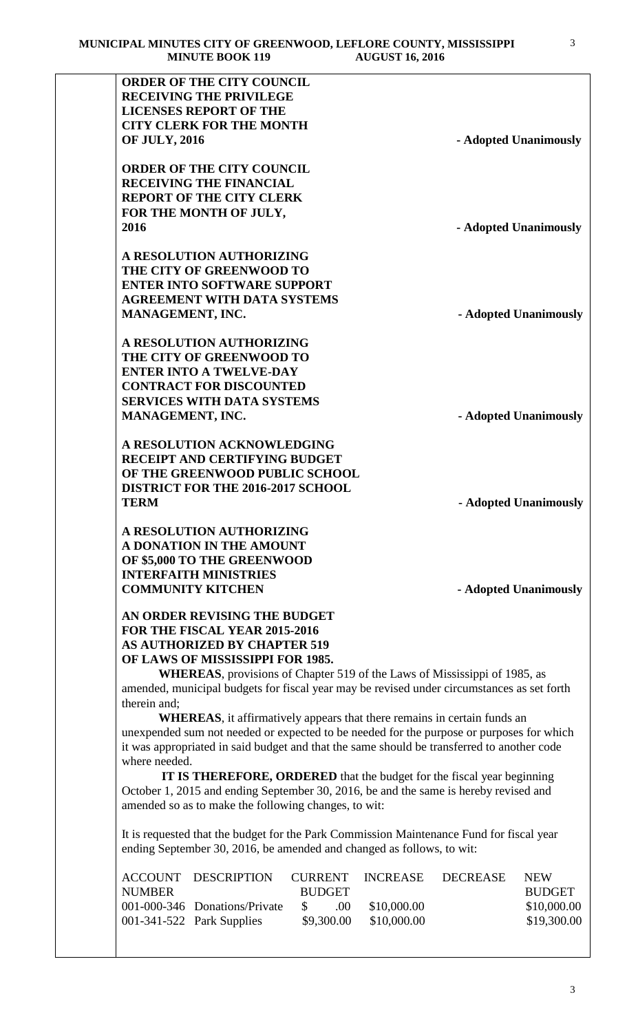|                      | <b>ORDER OF THE CITY COUNCIL</b>                                                                                                                                  |                          |                            |                       |                            |
|----------------------|-------------------------------------------------------------------------------------------------------------------------------------------------------------------|--------------------------|----------------------------|-----------------------|----------------------------|
|                      | <b>RECEIVING THE PRIVILEGE</b>                                                                                                                                    |                          |                            |                       |                            |
|                      | <b>LICENSES REPORT OF THE</b>                                                                                                                                     |                          |                            |                       |                            |
|                      | <b>CITY CLERK FOR THE MONTH</b>                                                                                                                                   |                          |                            |                       |                            |
| <b>OF JULY, 2016</b> |                                                                                                                                                                   |                          |                            | - Adopted Unanimously |                            |
|                      | <b>ORDER OF THE CITY COUNCIL</b>                                                                                                                                  |                          |                            |                       |                            |
|                      | <b>RECEIVING THE FINANCIAL</b>                                                                                                                                    |                          |                            |                       |                            |
|                      | <b>REPORT OF THE CITY CLERK</b>                                                                                                                                   |                          |                            |                       |                            |
|                      | FOR THE MONTH OF JULY,                                                                                                                                            |                          |                            |                       |                            |
| 2016                 |                                                                                                                                                                   |                          |                            | - Adopted Unanimously |                            |
|                      | A RESOLUTION AUTHORIZING                                                                                                                                          |                          |                            |                       |                            |
|                      | THE CITY OF GREENWOOD TO                                                                                                                                          |                          |                            |                       |                            |
|                      | <b>ENTER INTO SOFTWARE SUPPORT</b>                                                                                                                                |                          |                            |                       |                            |
|                      | <b>AGREEMENT WITH DATA SYSTEMS</b>                                                                                                                                |                          |                            |                       |                            |
| MANAGEMENT, INC.     |                                                                                                                                                                   |                          |                            | - Adopted Unanimously |                            |
|                      |                                                                                                                                                                   |                          |                            |                       |                            |
|                      | A RESOLUTION AUTHORIZING                                                                                                                                          |                          |                            |                       |                            |
|                      | THE CITY OF GREENWOOD TO                                                                                                                                          |                          |                            |                       |                            |
|                      | <b>ENTER INTO A TWELVE-DAY</b>                                                                                                                                    |                          |                            |                       |                            |
|                      | <b>CONTRACT FOR DISCOUNTED</b>                                                                                                                                    |                          |                            |                       |                            |
|                      | <b>SERVICES WITH DATA SYSTEMS</b>                                                                                                                                 |                          |                            |                       |                            |
| MANAGEMENT, INC.     |                                                                                                                                                                   |                          |                            | - Adopted Unanimously |                            |
|                      |                                                                                                                                                                   |                          |                            |                       |                            |
|                      | A RESOLUTION ACKNOWLEDGING                                                                                                                                        |                          |                            |                       |                            |
|                      | <b>RECEIPT AND CERTIFYING BUDGET</b>                                                                                                                              |                          |                            |                       |                            |
|                      | OF THE GREENWOOD PUBLIC SCHOOL                                                                                                                                    |                          |                            |                       |                            |
|                      | <b>DISTRICT FOR THE 2016-2017 SCHOOL</b>                                                                                                                          |                          |                            |                       |                            |
|                      |                                                                                                                                                                   |                          |                            |                       |                            |
| <b>TERM</b>          |                                                                                                                                                                   |                          |                            | - Adopted Unanimously |                            |
|                      |                                                                                                                                                                   |                          |                            |                       |                            |
|                      | <b>A RESOLUTION AUTHORIZING</b>                                                                                                                                   |                          |                            |                       |                            |
|                      | A DONATION IN THE AMOUNT                                                                                                                                          |                          |                            |                       |                            |
|                      | OF \$5,000 TO THE GREENWOOD<br><b>INTERFAITH MINISTRIES</b>                                                                                                       |                          |                            |                       |                            |
|                      | <b>COMMUNITY KITCHEN</b>                                                                                                                                          |                          |                            | - Adopted Unanimously |                            |
|                      |                                                                                                                                                                   |                          |                            |                       |                            |
|                      | AN ORDER REVISING THE BUDGET                                                                                                                                      |                          |                            |                       |                            |
|                      | FOR THE FISCAL YEAR 2015-2016                                                                                                                                     |                          |                            |                       |                            |
|                      | <b>AS AUTHORIZED BY CHAPTER 519</b>                                                                                                                               |                          |                            |                       |                            |
|                      | OF LAWS OF MISSISSIPPI FOR 1985.                                                                                                                                  |                          |                            |                       |                            |
|                      | <b>WHEREAS</b> , provisions of Chapter 519 of the Laws of Mississippi of 1985, as                                                                                 |                          |                            |                       |                            |
|                      | amended, municipal budgets for fiscal year may be revised under circumstances as set forth                                                                        |                          |                            |                       |                            |
| therein and;         |                                                                                                                                                                   |                          |                            |                       |                            |
|                      | <b>WHEREAS</b> , it affirmatively appears that there remains in certain funds an                                                                                  |                          |                            |                       |                            |
|                      | unexpended sum not needed or expected to be needed for the purpose or purposes for which                                                                          |                          |                            |                       |                            |
|                      | it was appropriated in said budget and that the same should be transferred to another code                                                                        |                          |                            |                       |                            |
| where needed.        |                                                                                                                                                                   |                          |                            |                       |                            |
|                      | IT IS THEREFORE, ORDERED that the budget for the fiscal year beginning                                                                                            |                          |                            |                       |                            |
|                      | October 1, 2015 and ending September 30, 2016, be and the same is hereby revised and                                                                              |                          |                            |                       |                            |
|                      | amended so as to make the following changes, to wit:                                                                                                              |                          |                            |                       |                            |
|                      |                                                                                                                                                                   |                          |                            |                       |                            |
|                      | It is requested that the budget for the Park Commission Maintenance Fund for fiscal year<br>ending September 30, 2016, be amended and changed as follows, to wit: |                          |                            |                       |                            |
|                      |                                                                                                                                                                   |                          |                            |                       |                            |
| <b>ACCOUNT</b>       | <b>DESCRIPTION</b>                                                                                                                                                | <b>CURRENT</b>           | <b>INCREASE</b>            | <b>DECREASE</b>       | <b>NEW</b>                 |
| <b>NUMBER</b>        |                                                                                                                                                                   | <b>BUDGET</b>            |                            |                       | <b>BUDGET</b>              |
|                      | 001-000-346 Donations/Private<br>001-341-522 Park Supplies                                                                                                        | \$<br>.00.<br>\$9,300.00 | \$10,000.00<br>\$10,000.00 |                       | \$10,000.00<br>\$19,300.00 |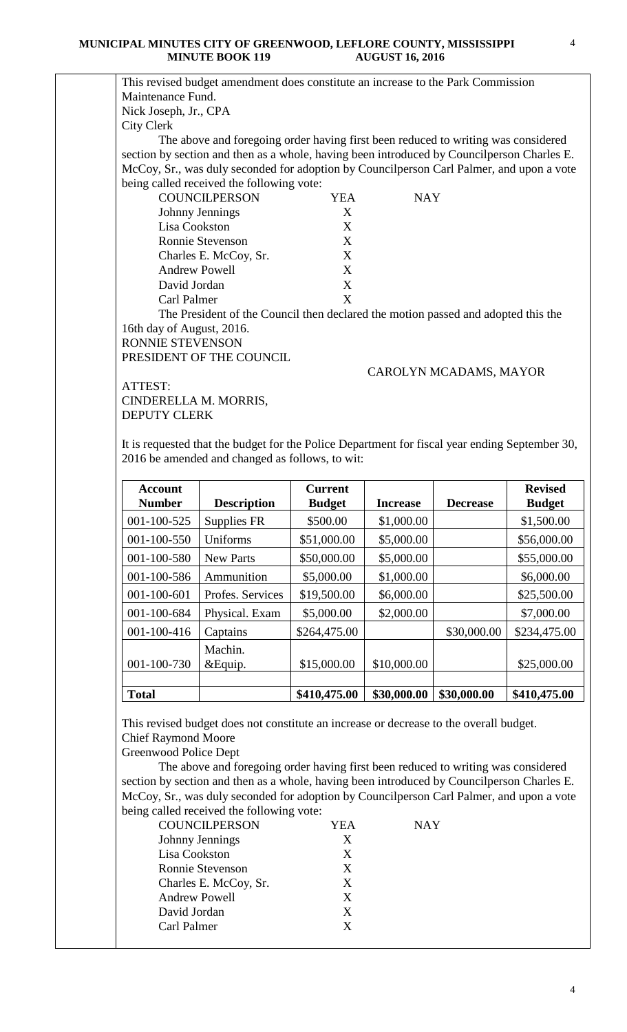4

|                                              | This revised budget amendment does constitute an increase to the Park Commission               |                |                 |                        |                |
|----------------------------------------------|------------------------------------------------------------------------------------------------|----------------|-----------------|------------------------|----------------|
| Maintenance Fund.                            |                                                                                                |                |                 |                        |                |
| Nick Joseph, Jr., CPA                        |                                                                                                |                |                 |                        |                |
| <b>City Clerk</b>                            |                                                                                                |                |                 |                        |                |
|                                              | The above and foregoing order having first been reduced to writing was considered              |                |                 |                        |                |
|                                              | section by section and then as a whole, having been introduced by Councilperson Charles E.     |                |                 |                        |                |
|                                              | McCoy, Sr., was duly seconded for adoption by Councilperson Carl Palmer, and upon a vote       |                |                 |                        |                |
|                                              | being called received the following vote:                                                      |                |                 |                        |                |
|                                              | <b>COUNCILPERSON</b>                                                                           | <b>YEA</b>     | <b>NAY</b>      |                        |                |
|                                              | Johnny Jennings                                                                                | X              |                 |                        |                |
| Lisa Cookston                                |                                                                                                | X              |                 |                        |                |
|                                              | Ronnie Stevenson                                                                               | X              |                 |                        |                |
|                                              | Charles E. McCoy, Sr.                                                                          | X              |                 |                        |                |
| <b>Andrew Powell</b>                         |                                                                                                | X              |                 |                        |                |
| David Jordan                                 |                                                                                                | X              |                 |                        |                |
| Carl Palmer                                  |                                                                                                | X              |                 |                        |                |
|                                              | The President of the Council then declared the motion passed and adopted this the              |                |                 |                        |                |
| 16th day of August, 2016.                    |                                                                                                |                |                 |                        |                |
| <b>RONNIE STEVENSON</b>                      |                                                                                                |                |                 |                        |                |
|                                              | PRESIDENT OF THE COUNCIL                                                                       |                |                 |                        |                |
|                                              |                                                                                                |                |                 | CAROLYN MCADAMS, MAYOR |                |
| ATTEST:                                      |                                                                                                |                |                 |                        |                |
| CINDERELLA M. MORRIS,<br><b>DEPUTY CLERK</b> |                                                                                                |                |                 |                        |                |
|                                              |                                                                                                |                |                 |                        |                |
|                                              | It is requested that the budget for the Police Department for fiscal year ending September 30, |                |                 |                        |                |
|                                              | 2016 be amended and changed as follows, to wit:                                                |                |                 |                        |                |
|                                              |                                                                                                |                |                 |                        |                |
| <b>Account</b>                               |                                                                                                | <b>Current</b> |                 |                        | <b>Revised</b> |
| <b>Number</b>                                | <b>Description</b>                                                                             | <b>Budget</b>  | <b>Increase</b> | <b>Decrease</b>        | <b>Budget</b>  |
| 001-100-525                                  | Supplies FR                                                                                    | \$500.00       | \$1,000.00      |                        | \$1,500.00     |
| 001-100-550                                  | Uniforms                                                                                       | \$51,000.00    | \$5,000.00      |                        | \$56,000.00    |
| 001-100-580                                  | New Parts                                                                                      | \$50,000.00    | \$5,000.00      |                        | \$55,000.00    |
| 001-100-586                                  | Ammunition                                                                                     | \$5,000.00     | \$1,000.00      |                        | \$6,000.00     |
| 001-100-601                                  | Profes. Services                                                                               | \$19,500.00    |                 |                        |                |
|                                              |                                                                                                |                | \$6,000.00      |                        | \$25,500.00    |
|                                              |                                                                                                |                |                 |                        |                |
| 001-100-684                                  | Physical. Exam                                                                                 | \$5,000.00     | \$2,000.00      |                        | \$7,000.00     |

| <b>Total</b>       |                  | \$410,475.00 | \$30,000.00                 | \$30,000.00 | \$410,475.00      |
|--------------------|------------------|--------------|-----------------------------|-------------|-------------------|
|                    |                  |              |                             |             |                   |
| 001-100-730        | &Equip.          | \$15,000.00  | \$10,000.00                 |             | \$25,000.00       |
|                    | Machin.          |              |                             |             |                   |
| 001-100-416        | Captains         | \$264,475.00 |                             | \$30,000.00 | \$234,475.00      |
| 001-100-684        | Physical. Exam   | \$5,000.00   | \$2,000.00                  |             | \$7,000.00        |
| 001-100-601        | Profes. Services | \$19,500.00  | \$6,000.00                  |             | \$25,500.00       |
| 001-100-586        | Ammunition       | \$5,000.00   | \$1,000.00                  |             | \$6,000.00        |
| 001-100-580        | <b>New Parts</b> | \$50,000.00  | \$5,000.00                  |             | \$55,000.00       |
| 001-100-550        | Uniforms         | \$51,000.00  | \$5,000.00                  |             | \$56,000.00       |
| 001 100 <i>040</i> | $\mathbf{u}$     | www.vv       | $v \cdot v \cdot v \cdot v$ |             | $v \sim v \sim v$ |

This revised budget does not constitute an increase or decrease to the overall budget. Chief Raymond Moore

Greenwood Police Dept

 The above and foregoing order having first been reduced to writing was considered section by section and then as a whole, having been introduced by Councilperson Charles E. McCoy, Sr., was duly seconded for adoption by Councilperson Carl Palmer, and upon a vote being called received the following vote:

| <b>COUNCILPERSON</b>    | YEA | NAY |
|-------------------------|-----|-----|
| Johnny Jennings         | X   |     |
| Lisa Cookston           | X   |     |
| <b>Ronnie Stevenson</b> | X   |     |
| Charles E. McCoy, Sr.   | X   |     |
| <b>Andrew Powell</b>    | X   |     |
| David Jordan            | X   |     |
| Carl Palmer             | x   |     |
|                         |     |     |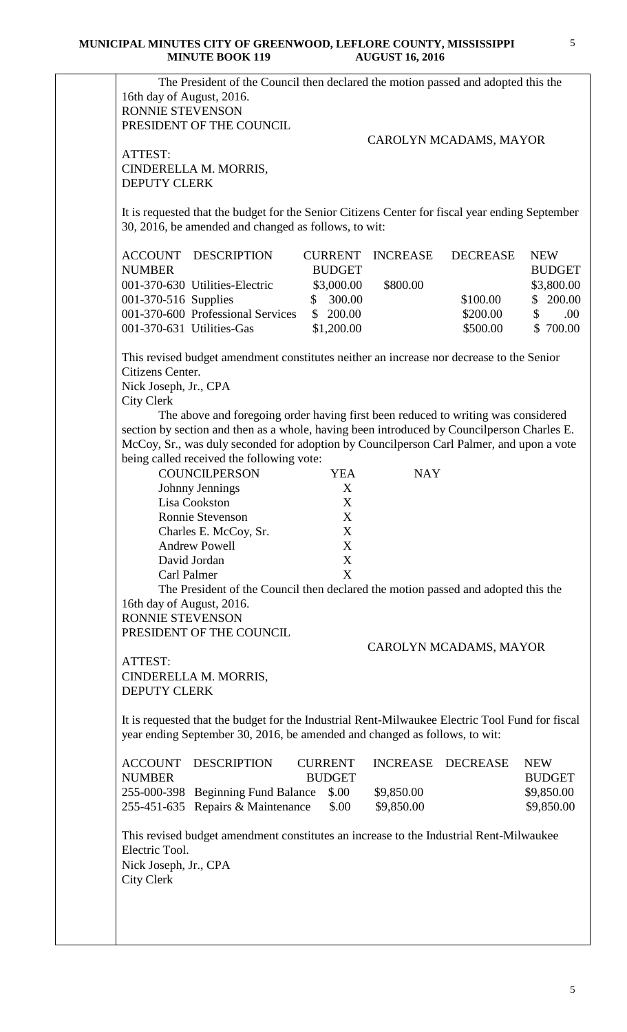| PRESIDENT OF THE COUNCIL<br>CAROLYN MCADAMS, MAYOR<br>ATTEST:<br>CINDERELLA M. MORRIS,<br><b>DEPUTY CLERK</b><br>It is requested that the budget for the Senior Citizens Center for fiscal year ending September<br>30, 2016, be amended and changed as follows, to wit:<br><b>ACCOUNT DESCRIPTION</b><br><b>CURRENT</b><br><b>INCREASE</b><br><b>DECREASE</b><br><b>NUMBER</b><br><b>BUDGET</b><br>001-370-630 Utilities-Electric<br>\$3,000.00<br>\$800.00<br>300.00<br>001-370-516 Supplies<br>\$100.00<br>\$<br>001-370-600 Professional Services<br>\$200.00<br>\$<br>\$200.00<br>001-370-631 Utilities-Gas<br>\$1,200.00<br>\$500.00<br>This revised budget amendment constitutes neither an increase nor decrease to the Senior<br>Citizens Center.<br>Nick Joseph, Jr., CPA<br><b>City Clerk</b><br>The above and foregoing order having first been reduced to writing was considered<br>section by section and then as a whole, having been introduced by Councilperson Charles E.<br>McCoy, Sr., was duly seconded for adoption by Councilperson Carl Palmer, and upon a vote<br>being called received the following vote:<br><b>COUNCILPERSON</b><br><b>YEA</b><br><b>NAY</b><br>Johnny Jennings<br>X<br>Lisa Cookston<br>X<br>X<br>Ronnie Stevenson<br>Charles E. McCoy, Sr.<br>X<br><b>Andrew Powell</b><br>X<br>$\boldsymbol{\mathrm{X}}$<br>David Jordan<br>$\boldsymbol{\mathrm{X}}$<br>Carl Palmer<br>The President of the Council then declared the motion passed and adopted this the<br>16th day of August, 2016.<br>RONNIE STEVENSON<br>PRESIDENT OF THE COUNCIL<br>CAROLYN MCADAMS, MAYOR<br>ATTEST:<br>CINDERELLA M. MORRIS,<br><b>DEPUTY CLERK</b><br>It is requested that the budget for the Industrial Rent-Milwaukee Electric Tool Fund for fiscal<br>year ending September 30, 2016, be amended and changed as follows, to wit:<br><b>ACCOUNT</b><br><b>DESCRIPTION</b><br><b>CURRENT</b><br><b>INCREASE</b><br><b>DECREASE</b><br><b>NEW</b><br><b>NUMBER</b><br><b>BUDGET</b><br><b>BUDGET</b><br>255-000-398 Beginning Fund Balance<br>\$.00<br>\$9,850.00<br>\$9,850.00<br>255-451-635 Repairs & Maintenance<br>\$.00<br>\$9,850.00<br>This revised budget amendment constitutes an increase to the Industrial Rent-Milwaukee<br>Electric Tool.<br>Nick Joseph, Jr., CPA<br><b>City Clerk</b> | RONNIE STEVENSON |  |  |               |
|-------------------------------------------------------------------------------------------------------------------------------------------------------------------------------------------------------------------------------------------------------------------------------------------------------------------------------------------------------------------------------------------------------------------------------------------------------------------------------------------------------------------------------------------------------------------------------------------------------------------------------------------------------------------------------------------------------------------------------------------------------------------------------------------------------------------------------------------------------------------------------------------------------------------------------------------------------------------------------------------------------------------------------------------------------------------------------------------------------------------------------------------------------------------------------------------------------------------------------------------------------------------------------------------------------------------------------------------------------------------------------------------------------------------------------------------------------------------------------------------------------------------------------------------------------------------------------------------------------------------------------------------------------------------------------------------------------------------------------------------------------------------------------------------------------------------------------------------------------------------------------------------------------------------------------------------------------------------------------------------------------------------------------------------------------------------------------------------------------------------------------------------------------------------------------------------------------------------------------------------------------------------------------------------------------------------------------|------------------|--|--|---------------|
|                                                                                                                                                                                                                                                                                                                                                                                                                                                                                                                                                                                                                                                                                                                                                                                                                                                                                                                                                                                                                                                                                                                                                                                                                                                                                                                                                                                                                                                                                                                                                                                                                                                                                                                                                                                                                                                                                                                                                                                                                                                                                                                                                                                                                                                                                                                               |                  |  |  |               |
|                                                                                                                                                                                                                                                                                                                                                                                                                                                                                                                                                                                                                                                                                                                                                                                                                                                                                                                                                                                                                                                                                                                                                                                                                                                                                                                                                                                                                                                                                                                                                                                                                                                                                                                                                                                                                                                                                                                                                                                                                                                                                                                                                                                                                                                                                                                               |                  |  |  |               |
|                                                                                                                                                                                                                                                                                                                                                                                                                                                                                                                                                                                                                                                                                                                                                                                                                                                                                                                                                                                                                                                                                                                                                                                                                                                                                                                                                                                                                                                                                                                                                                                                                                                                                                                                                                                                                                                                                                                                                                                                                                                                                                                                                                                                                                                                                                                               |                  |  |  |               |
|                                                                                                                                                                                                                                                                                                                                                                                                                                                                                                                                                                                                                                                                                                                                                                                                                                                                                                                                                                                                                                                                                                                                                                                                                                                                                                                                                                                                                                                                                                                                                                                                                                                                                                                                                                                                                                                                                                                                                                                                                                                                                                                                                                                                                                                                                                                               |                  |  |  |               |
|                                                                                                                                                                                                                                                                                                                                                                                                                                                                                                                                                                                                                                                                                                                                                                                                                                                                                                                                                                                                                                                                                                                                                                                                                                                                                                                                                                                                                                                                                                                                                                                                                                                                                                                                                                                                                                                                                                                                                                                                                                                                                                                                                                                                                                                                                                                               |                  |  |  |               |
|                                                                                                                                                                                                                                                                                                                                                                                                                                                                                                                                                                                                                                                                                                                                                                                                                                                                                                                                                                                                                                                                                                                                                                                                                                                                                                                                                                                                                                                                                                                                                                                                                                                                                                                                                                                                                                                                                                                                                                                                                                                                                                                                                                                                                                                                                                                               |                  |  |  |               |
|                                                                                                                                                                                                                                                                                                                                                                                                                                                                                                                                                                                                                                                                                                                                                                                                                                                                                                                                                                                                                                                                                                                                                                                                                                                                                                                                                                                                                                                                                                                                                                                                                                                                                                                                                                                                                                                                                                                                                                                                                                                                                                                                                                                                                                                                                                                               |                  |  |  |               |
|                                                                                                                                                                                                                                                                                                                                                                                                                                                                                                                                                                                                                                                                                                                                                                                                                                                                                                                                                                                                                                                                                                                                                                                                                                                                                                                                                                                                                                                                                                                                                                                                                                                                                                                                                                                                                                                                                                                                                                                                                                                                                                                                                                                                                                                                                                                               |                  |  |  | <b>NEW</b>    |
|                                                                                                                                                                                                                                                                                                                                                                                                                                                                                                                                                                                                                                                                                                                                                                                                                                                                                                                                                                                                                                                                                                                                                                                                                                                                                                                                                                                                                                                                                                                                                                                                                                                                                                                                                                                                                                                                                                                                                                                                                                                                                                                                                                                                                                                                                                                               |                  |  |  | <b>BUDGET</b> |
|                                                                                                                                                                                                                                                                                                                                                                                                                                                                                                                                                                                                                                                                                                                                                                                                                                                                                                                                                                                                                                                                                                                                                                                                                                                                                                                                                                                                                                                                                                                                                                                                                                                                                                                                                                                                                                                                                                                                                                                                                                                                                                                                                                                                                                                                                                                               |                  |  |  | \$3,800.00    |
|                                                                                                                                                                                                                                                                                                                                                                                                                                                                                                                                                                                                                                                                                                                                                                                                                                                                                                                                                                                                                                                                                                                                                                                                                                                                                                                                                                                                                                                                                                                                                                                                                                                                                                                                                                                                                                                                                                                                                                                                                                                                                                                                                                                                                                                                                                                               |                  |  |  | \$200.00      |
|                                                                                                                                                                                                                                                                                                                                                                                                                                                                                                                                                                                                                                                                                                                                                                                                                                                                                                                                                                                                                                                                                                                                                                                                                                                                                                                                                                                                                                                                                                                                                                                                                                                                                                                                                                                                                                                                                                                                                                                                                                                                                                                                                                                                                                                                                                                               |                  |  |  |               |
|                                                                                                                                                                                                                                                                                                                                                                                                                                                                                                                                                                                                                                                                                                                                                                                                                                                                                                                                                                                                                                                                                                                                                                                                                                                                                                                                                                                                                                                                                                                                                                                                                                                                                                                                                                                                                                                                                                                                                                                                                                                                                                                                                                                                                                                                                                                               |                  |  |  | \$700.00      |
|                                                                                                                                                                                                                                                                                                                                                                                                                                                                                                                                                                                                                                                                                                                                                                                                                                                                                                                                                                                                                                                                                                                                                                                                                                                                                                                                                                                                                                                                                                                                                                                                                                                                                                                                                                                                                                                                                                                                                                                                                                                                                                                                                                                                                                                                                                                               |                  |  |  |               |
|                                                                                                                                                                                                                                                                                                                                                                                                                                                                                                                                                                                                                                                                                                                                                                                                                                                                                                                                                                                                                                                                                                                                                                                                                                                                                                                                                                                                                                                                                                                                                                                                                                                                                                                                                                                                                                                                                                                                                                                                                                                                                                                                                                                                                                                                                                                               |                  |  |  |               |
|                                                                                                                                                                                                                                                                                                                                                                                                                                                                                                                                                                                                                                                                                                                                                                                                                                                                                                                                                                                                                                                                                                                                                                                                                                                                                                                                                                                                                                                                                                                                                                                                                                                                                                                                                                                                                                                                                                                                                                                                                                                                                                                                                                                                                                                                                                                               |                  |  |  |               |
|                                                                                                                                                                                                                                                                                                                                                                                                                                                                                                                                                                                                                                                                                                                                                                                                                                                                                                                                                                                                                                                                                                                                                                                                                                                                                                                                                                                                                                                                                                                                                                                                                                                                                                                                                                                                                                                                                                                                                                                                                                                                                                                                                                                                                                                                                                                               |                  |  |  |               |
|                                                                                                                                                                                                                                                                                                                                                                                                                                                                                                                                                                                                                                                                                                                                                                                                                                                                                                                                                                                                                                                                                                                                                                                                                                                                                                                                                                                                                                                                                                                                                                                                                                                                                                                                                                                                                                                                                                                                                                                                                                                                                                                                                                                                                                                                                                                               |                  |  |  |               |
|                                                                                                                                                                                                                                                                                                                                                                                                                                                                                                                                                                                                                                                                                                                                                                                                                                                                                                                                                                                                                                                                                                                                                                                                                                                                                                                                                                                                                                                                                                                                                                                                                                                                                                                                                                                                                                                                                                                                                                                                                                                                                                                                                                                                                                                                                                                               |                  |  |  |               |
|                                                                                                                                                                                                                                                                                                                                                                                                                                                                                                                                                                                                                                                                                                                                                                                                                                                                                                                                                                                                                                                                                                                                                                                                                                                                                                                                                                                                                                                                                                                                                                                                                                                                                                                                                                                                                                                                                                                                                                                                                                                                                                                                                                                                                                                                                                                               |                  |  |  |               |
|                                                                                                                                                                                                                                                                                                                                                                                                                                                                                                                                                                                                                                                                                                                                                                                                                                                                                                                                                                                                                                                                                                                                                                                                                                                                                                                                                                                                                                                                                                                                                                                                                                                                                                                                                                                                                                                                                                                                                                                                                                                                                                                                                                                                                                                                                                                               |                  |  |  |               |
|                                                                                                                                                                                                                                                                                                                                                                                                                                                                                                                                                                                                                                                                                                                                                                                                                                                                                                                                                                                                                                                                                                                                                                                                                                                                                                                                                                                                                                                                                                                                                                                                                                                                                                                                                                                                                                                                                                                                                                                                                                                                                                                                                                                                                                                                                                                               |                  |  |  |               |
|                                                                                                                                                                                                                                                                                                                                                                                                                                                                                                                                                                                                                                                                                                                                                                                                                                                                                                                                                                                                                                                                                                                                                                                                                                                                                                                                                                                                                                                                                                                                                                                                                                                                                                                                                                                                                                                                                                                                                                                                                                                                                                                                                                                                                                                                                                                               |                  |  |  |               |
|                                                                                                                                                                                                                                                                                                                                                                                                                                                                                                                                                                                                                                                                                                                                                                                                                                                                                                                                                                                                                                                                                                                                                                                                                                                                                                                                                                                                                                                                                                                                                                                                                                                                                                                                                                                                                                                                                                                                                                                                                                                                                                                                                                                                                                                                                                                               |                  |  |  |               |
|                                                                                                                                                                                                                                                                                                                                                                                                                                                                                                                                                                                                                                                                                                                                                                                                                                                                                                                                                                                                                                                                                                                                                                                                                                                                                                                                                                                                                                                                                                                                                                                                                                                                                                                                                                                                                                                                                                                                                                                                                                                                                                                                                                                                                                                                                                                               |                  |  |  |               |
|                                                                                                                                                                                                                                                                                                                                                                                                                                                                                                                                                                                                                                                                                                                                                                                                                                                                                                                                                                                                                                                                                                                                                                                                                                                                                                                                                                                                                                                                                                                                                                                                                                                                                                                                                                                                                                                                                                                                                                                                                                                                                                                                                                                                                                                                                                                               |                  |  |  |               |
|                                                                                                                                                                                                                                                                                                                                                                                                                                                                                                                                                                                                                                                                                                                                                                                                                                                                                                                                                                                                                                                                                                                                                                                                                                                                                                                                                                                                                                                                                                                                                                                                                                                                                                                                                                                                                                                                                                                                                                                                                                                                                                                                                                                                                                                                                                                               |                  |  |  |               |
|                                                                                                                                                                                                                                                                                                                                                                                                                                                                                                                                                                                                                                                                                                                                                                                                                                                                                                                                                                                                                                                                                                                                                                                                                                                                                                                                                                                                                                                                                                                                                                                                                                                                                                                                                                                                                                                                                                                                                                                                                                                                                                                                                                                                                                                                                                                               |                  |  |  |               |
|                                                                                                                                                                                                                                                                                                                                                                                                                                                                                                                                                                                                                                                                                                                                                                                                                                                                                                                                                                                                                                                                                                                                                                                                                                                                                                                                                                                                                                                                                                                                                                                                                                                                                                                                                                                                                                                                                                                                                                                                                                                                                                                                                                                                                                                                                                                               |                  |  |  |               |
|                                                                                                                                                                                                                                                                                                                                                                                                                                                                                                                                                                                                                                                                                                                                                                                                                                                                                                                                                                                                                                                                                                                                                                                                                                                                                                                                                                                                                                                                                                                                                                                                                                                                                                                                                                                                                                                                                                                                                                                                                                                                                                                                                                                                                                                                                                                               |                  |  |  |               |
|                                                                                                                                                                                                                                                                                                                                                                                                                                                                                                                                                                                                                                                                                                                                                                                                                                                                                                                                                                                                                                                                                                                                                                                                                                                                                                                                                                                                                                                                                                                                                                                                                                                                                                                                                                                                                                                                                                                                                                                                                                                                                                                                                                                                                                                                                                                               |                  |  |  |               |
|                                                                                                                                                                                                                                                                                                                                                                                                                                                                                                                                                                                                                                                                                                                                                                                                                                                                                                                                                                                                                                                                                                                                                                                                                                                                                                                                                                                                                                                                                                                                                                                                                                                                                                                                                                                                                                                                                                                                                                                                                                                                                                                                                                                                                                                                                                                               |                  |  |  |               |
|                                                                                                                                                                                                                                                                                                                                                                                                                                                                                                                                                                                                                                                                                                                                                                                                                                                                                                                                                                                                                                                                                                                                                                                                                                                                                                                                                                                                                                                                                                                                                                                                                                                                                                                                                                                                                                                                                                                                                                                                                                                                                                                                                                                                                                                                                                                               |                  |  |  |               |
|                                                                                                                                                                                                                                                                                                                                                                                                                                                                                                                                                                                                                                                                                                                                                                                                                                                                                                                                                                                                                                                                                                                                                                                                                                                                                                                                                                                                                                                                                                                                                                                                                                                                                                                                                                                                                                                                                                                                                                                                                                                                                                                                                                                                                                                                                                                               |                  |  |  |               |
|                                                                                                                                                                                                                                                                                                                                                                                                                                                                                                                                                                                                                                                                                                                                                                                                                                                                                                                                                                                                                                                                                                                                                                                                                                                                                                                                                                                                                                                                                                                                                                                                                                                                                                                                                                                                                                                                                                                                                                                                                                                                                                                                                                                                                                                                                                                               |                  |  |  |               |
|                                                                                                                                                                                                                                                                                                                                                                                                                                                                                                                                                                                                                                                                                                                                                                                                                                                                                                                                                                                                                                                                                                                                                                                                                                                                                                                                                                                                                                                                                                                                                                                                                                                                                                                                                                                                                                                                                                                                                                                                                                                                                                                                                                                                                                                                                                                               |                  |  |  |               |
|                                                                                                                                                                                                                                                                                                                                                                                                                                                                                                                                                                                                                                                                                                                                                                                                                                                                                                                                                                                                                                                                                                                                                                                                                                                                                                                                                                                                                                                                                                                                                                                                                                                                                                                                                                                                                                                                                                                                                                                                                                                                                                                                                                                                                                                                                                                               |                  |  |  |               |
|                                                                                                                                                                                                                                                                                                                                                                                                                                                                                                                                                                                                                                                                                                                                                                                                                                                                                                                                                                                                                                                                                                                                                                                                                                                                                                                                                                                                                                                                                                                                                                                                                                                                                                                                                                                                                                                                                                                                                                                                                                                                                                                                                                                                                                                                                                                               |                  |  |  |               |
|                                                                                                                                                                                                                                                                                                                                                                                                                                                                                                                                                                                                                                                                                                                                                                                                                                                                                                                                                                                                                                                                                                                                                                                                                                                                                                                                                                                                                                                                                                                                                                                                                                                                                                                                                                                                                                                                                                                                                                                                                                                                                                                                                                                                                                                                                                                               |                  |  |  |               |
|                                                                                                                                                                                                                                                                                                                                                                                                                                                                                                                                                                                                                                                                                                                                                                                                                                                                                                                                                                                                                                                                                                                                                                                                                                                                                                                                                                                                                                                                                                                                                                                                                                                                                                                                                                                                                                                                                                                                                                                                                                                                                                                                                                                                                                                                                                                               |                  |  |  |               |
|                                                                                                                                                                                                                                                                                                                                                                                                                                                                                                                                                                                                                                                                                                                                                                                                                                                                                                                                                                                                                                                                                                                                                                                                                                                                                                                                                                                                                                                                                                                                                                                                                                                                                                                                                                                                                                                                                                                                                                                                                                                                                                                                                                                                                                                                                                                               |                  |  |  |               |
|                                                                                                                                                                                                                                                                                                                                                                                                                                                                                                                                                                                                                                                                                                                                                                                                                                                                                                                                                                                                                                                                                                                                                                                                                                                                                                                                                                                                                                                                                                                                                                                                                                                                                                                                                                                                                                                                                                                                                                                                                                                                                                                                                                                                                                                                                                                               |                  |  |  |               |
|                                                                                                                                                                                                                                                                                                                                                                                                                                                                                                                                                                                                                                                                                                                                                                                                                                                                                                                                                                                                                                                                                                                                                                                                                                                                                                                                                                                                                                                                                                                                                                                                                                                                                                                                                                                                                                                                                                                                                                                                                                                                                                                                                                                                                                                                                                                               |                  |  |  |               |
|                                                                                                                                                                                                                                                                                                                                                                                                                                                                                                                                                                                                                                                                                                                                                                                                                                                                                                                                                                                                                                                                                                                                                                                                                                                                                                                                                                                                                                                                                                                                                                                                                                                                                                                                                                                                                                                                                                                                                                                                                                                                                                                                                                                                                                                                                                                               |                  |  |  | \$9,850.00    |
|                                                                                                                                                                                                                                                                                                                                                                                                                                                                                                                                                                                                                                                                                                                                                                                                                                                                                                                                                                                                                                                                                                                                                                                                                                                                                                                                                                                                                                                                                                                                                                                                                                                                                                                                                                                                                                                                                                                                                                                                                                                                                                                                                                                                                                                                                                                               |                  |  |  |               |
|                                                                                                                                                                                                                                                                                                                                                                                                                                                                                                                                                                                                                                                                                                                                                                                                                                                                                                                                                                                                                                                                                                                                                                                                                                                                                                                                                                                                                                                                                                                                                                                                                                                                                                                                                                                                                                                                                                                                                                                                                                                                                                                                                                                                                                                                                                                               |                  |  |  |               |
|                                                                                                                                                                                                                                                                                                                                                                                                                                                                                                                                                                                                                                                                                                                                                                                                                                                                                                                                                                                                                                                                                                                                                                                                                                                                                                                                                                                                                                                                                                                                                                                                                                                                                                                                                                                                                                                                                                                                                                                                                                                                                                                                                                                                                                                                                                                               |                  |  |  |               |
|                                                                                                                                                                                                                                                                                                                                                                                                                                                                                                                                                                                                                                                                                                                                                                                                                                                                                                                                                                                                                                                                                                                                                                                                                                                                                                                                                                                                                                                                                                                                                                                                                                                                                                                                                                                                                                                                                                                                                                                                                                                                                                                                                                                                                                                                                                                               |                  |  |  |               |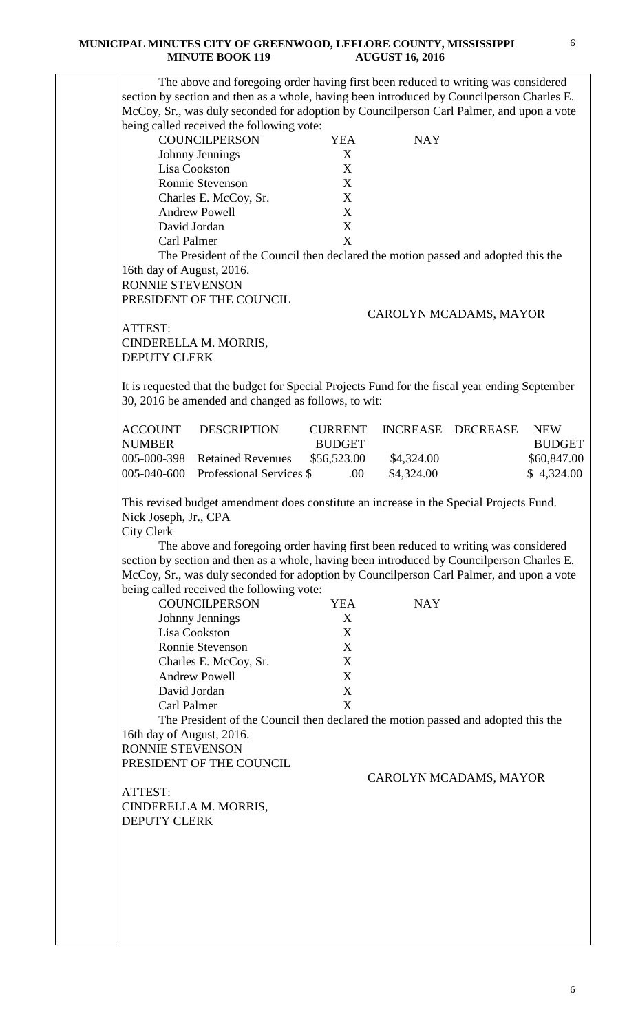#### **MUNICIPAL MINUTES CITY OF GREENWOOD, LEFLORE COUNTY, MISSISSIPPI MINUTE BOOK 119 AUGUST 16, 2016**

|                                                      | The above and foregoing order having first been reduced to writing was considered<br>section by section and then as a whole, having been introduced by Councilperson Charles E.<br>McCoy, Sr., was duly seconded for adoption by Councilperson Carl Palmer, and upon a vote                                                                                                                                                                 |                 |            |                        |               |
|------------------------------------------------------|---------------------------------------------------------------------------------------------------------------------------------------------------------------------------------------------------------------------------------------------------------------------------------------------------------------------------------------------------------------------------------------------------------------------------------------------|-----------------|------------|------------------------|---------------|
|                                                      | being called received the following vote:<br><b>COUNCILPERSON</b>                                                                                                                                                                                                                                                                                                                                                                           | <b>YEA</b>      | <b>NAY</b> |                        |               |
| Johnny Jennings                                      |                                                                                                                                                                                                                                                                                                                                                                                                                                             | X               |            |                        |               |
| Lisa Cookston                                        |                                                                                                                                                                                                                                                                                                                                                                                                                                             | X               |            |                        |               |
|                                                      | <b>Ronnie Stevenson</b>                                                                                                                                                                                                                                                                                                                                                                                                                     | X               |            |                        |               |
|                                                      | Charles E. McCoy, Sr.                                                                                                                                                                                                                                                                                                                                                                                                                       | X               |            |                        |               |
| <b>Andrew Powell</b>                                 |                                                                                                                                                                                                                                                                                                                                                                                                                                             | X               |            |                        |               |
| David Jordan                                         |                                                                                                                                                                                                                                                                                                                                                                                                                                             | X               |            |                        |               |
| Carl Palmer                                          |                                                                                                                                                                                                                                                                                                                                                                                                                                             | X               |            |                        |               |
| 16th day of August, 2016.<br><b>RONNIE STEVENSON</b> | The President of the Council then declared the motion passed and adopted this the                                                                                                                                                                                                                                                                                                                                                           |                 |            |                        |               |
|                                                      | PRESIDENT OF THE COUNCIL                                                                                                                                                                                                                                                                                                                                                                                                                    |                 |            |                        |               |
|                                                      |                                                                                                                                                                                                                                                                                                                                                                                                                                             |                 |            | CAROLYN MCADAMS, MAYOR |               |
| ATTEST:                                              |                                                                                                                                                                                                                                                                                                                                                                                                                                             |                 |            |                        |               |
| CINDERELLA M. MORRIS,                                |                                                                                                                                                                                                                                                                                                                                                                                                                                             |                 |            |                        |               |
| <b>DEPUTY CLERK</b>                                  |                                                                                                                                                                                                                                                                                                                                                                                                                                             |                 |            |                        |               |
|                                                      |                                                                                                                                                                                                                                                                                                                                                                                                                                             |                 |            |                        |               |
|                                                      | It is requested that the budget for Special Projects Fund for the fiscal year ending September<br>30, 2016 be amended and changed as follows, to wit:                                                                                                                                                                                                                                                                                       |                 |            |                        |               |
| <b>ACCOUNT</b>                                       | <b>DESCRIPTION</b>                                                                                                                                                                                                                                                                                                                                                                                                                          | <b>CURRENT</b>  |            | INCREASE DECREASE      | <b>NEW</b>    |
| <b>NUMBER</b>                                        |                                                                                                                                                                                                                                                                                                                                                                                                                                             | <b>BUDGET</b>   |            |                        | <b>BUDGET</b> |
| 005-000-398                                          | <b>Retained Revenues</b>                                                                                                                                                                                                                                                                                                                                                                                                                    | \$56,523.00     | \$4,324.00 |                        | \$60,847.00   |
| 005-040-600                                          | Professional Services \$                                                                                                                                                                                                                                                                                                                                                                                                                    | .00             | \$4,324.00 |                        | \$4,324.00    |
| Nick Joseph, Jr., CPA<br><b>City Clerk</b>           | This revised budget amendment does constitute an increase in the Special Projects Fund.<br>The above and foregoing order having first been reduced to writing was considered<br>section by section and then as a whole, having been introduced by Councilperson Charles E.<br>McCoy, Sr., was duly seconded for adoption by Councilperson Carl Palmer, and upon a vote<br>being called received the following vote:<br><b>COUNCILPERSON</b> |                 | <b>NAY</b> |                        |               |
|                                                      |                                                                                                                                                                                                                                                                                                                                                                                                                                             | <b>YEA</b><br>X |            |                        |               |
| Johnny Jennings<br>Lisa Cookston                     |                                                                                                                                                                                                                                                                                                                                                                                                                                             | X               |            |                        |               |
|                                                      | Ronnie Stevenson                                                                                                                                                                                                                                                                                                                                                                                                                            | X               |            |                        |               |
|                                                      | Charles E. McCoy, Sr.                                                                                                                                                                                                                                                                                                                                                                                                                       | X               |            |                        |               |
| <b>Andrew Powell</b>                                 |                                                                                                                                                                                                                                                                                                                                                                                                                                             | X               |            |                        |               |
| David Jordan                                         |                                                                                                                                                                                                                                                                                                                                                                                                                                             | X               |            |                        |               |
| Carl Palmer                                          |                                                                                                                                                                                                                                                                                                                                                                                                                                             | X               |            |                        |               |
| 16th day of August, 2016.                            | The President of the Council then declared the motion passed and adopted this the                                                                                                                                                                                                                                                                                                                                                           |                 |            |                        |               |
| RONNIE STEVENSON                                     |                                                                                                                                                                                                                                                                                                                                                                                                                                             |                 |            |                        |               |
|                                                      | PRESIDENT OF THE COUNCIL                                                                                                                                                                                                                                                                                                                                                                                                                    |                 |            |                        |               |
| ATTEST:                                              |                                                                                                                                                                                                                                                                                                                                                                                                                                             |                 |            | CAROLYN MCADAMS, MAYOR |               |
| CINDERELLA M. MORRIS,                                |                                                                                                                                                                                                                                                                                                                                                                                                                                             |                 |            |                        |               |
| <b>DEPUTY CLERK</b>                                  |                                                                                                                                                                                                                                                                                                                                                                                                                                             |                 |            |                        |               |
|                                                      |                                                                                                                                                                                                                                                                                                                                                                                                                                             |                 |            |                        |               |
|                                                      |                                                                                                                                                                                                                                                                                                                                                                                                                                             |                 |            |                        |               |
|                                                      |                                                                                                                                                                                                                                                                                                                                                                                                                                             |                 |            |                        |               |
|                                                      |                                                                                                                                                                                                                                                                                                                                                                                                                                             |                 |            |                        |               |
|                                                      |                                                                                                                                                                                                                                                                                                                                                                                                                                             |                 |            |                        |               |
|                                                      |                                                                                                                                                                                                                                                                                                                                                                                                                                             |                 |            |                        |               |
|                                                      |                                                                                                                                                                                                                                                                                                                                                                                                                                             |                 |            |                        |               |
|                                                      |                                                                                                                                                                                                                                                                                                                                                                                                                                             |                 |            |                        |               |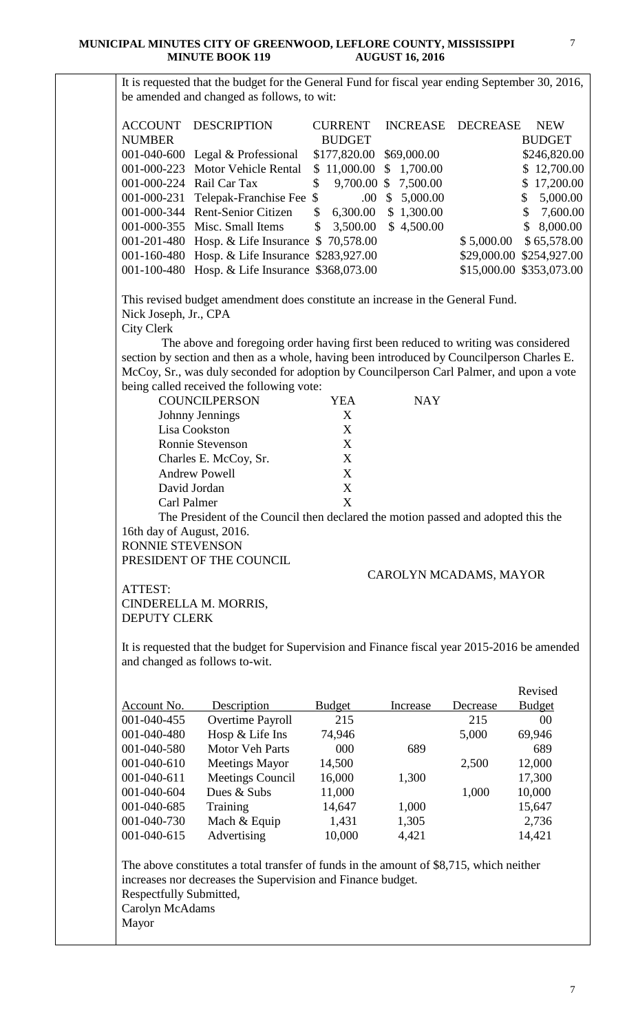It is requested that the budget for the General Fund for fiscal year ending September 30, 2016, be amended and changed as follows, to wit:

|                          | <b>ACCOUNT DESCRIPTION</b>                      | <b>CURRENT</b>             |            | INCREASE DECREASE | <b>NEW</b>               |
|--------------------------|-------------------------------------------------|----------------------------|------------|-------------------|--------------------------|
| <b>NUMBER</b>            |                                                 | <b>BUDGET</b>              |            |                   | <b>BUDGET</b>            |
|                          | 001-040-600 Legal $&$ Professional              | \$177,820.00 \$69,000.00   |            |                   | \$246,820.00             |
|                          | 001-000-223 Motor Vehicle Rental                | $$11,000.00 \ $1,700.00$   |            |                   | \$12,700.00              |
| 001-000-224 Rail Car Tax |                                                 | \$<br>9,700.00 \$ 7,500.00 |            |                   | \$17,200.00              |
|                          | 001-000-231 Telepak-Franchise Fee \$            | $.00\,$                    | \$5,000.00 |                   | \$5,000.00               |
|                          | 001-000-344 Rent-Senior Citizen                 | \$<br>6,300.00             | \$1,300.00 |                   | \$7,600.00               |
|                          | 001-000-355 Misc. Small Items                   | $$3,500.00 \$4,500.00$     |            |                   | \$8,000.00               |
|                          | 001-201-480 Hosp. & Life Insurance \$70,578.00  |                            |            | \$5,000.00        | \$65,578.00              |
|                          | 001-160-480 Hosp. & Life Insurance \$283,927.00 |                            |            |                   | \$29,000.00 \$254,927.00 |
|                          | 001-100-480 Hosp. & Life Insurance \$368,073.00 |                            |            |                   | \$15,000.00 \$353,073.00 |

This revised budget amendment does constitute an increase in the General Fund. Nick Joseph, Jr., CPA City Clerk

 The above and foregoing order having first been reduced to writing was considered section by section and then as a whole, having been introduced by Councilperson Charles E. McCoy, Sr., was duly seconded for adoption by Councilperson Carl Palmer, and upon a vote being called received the following vote:

| <b>COUNCILPERSON</b>  | YEA | <b>NAY</b> |
|-----------------------|-----|------------|
| Johnny Jennings       | X   |            |
| Lisa Cookston         | X   |            |
| Ronnie Stevenson      | X   |            |
| Charles E. McCoy, Sr. | X   |            |
| <b>Andrew Powell</b>  | X   |            |
| David Jordan          | X   |            |
| Carl Palmer           | v   |            |
|                       |     |            |

The President of the Council then declared the motion passed and adopted this the 16th day of August, 2016.

RONNIE STEVENSON

PRESIDENT OF THE COUNCIL

### CAROLYN MCADAMS, MAYOR

ATTEST: CINDERELLA M. MORRIS, DEPUTY CLERK

It is requested that the budget for Supervision and Finance fiscal year 2015-2016 be amended and changed as follows to-wit.

|                   |                         |               |          |          | Revised        |
|-------------------|-------------------------|---------------|----------|----------|----------------|
| Account No.       | Description             | <b>Budget</b> | Increase | Decrease | <b>Budget</b>  |
| 001-040-455       | Overtime Payroll        | 215           |          | 215      | 0 <sup>0</sup> |
| $001 - 040 - 480$ | Hosp & Life Ins         | 74,946        |          | 5,000    | 69,946         |
| 001-040-580       | <b>Motor Veh Parts</b>  | 000           | 689      |          | 689            |
| 001-040-610       | <b>Meetings Mayor</b>   | 14,500        |          | 2,500    | 12,000         |
| $001 - 040 - 611$ | <b>Meetings Council</b> | 16,000        | 1,300    |          | 17,300         |
| $001 - 040 - 604$ | Dues & Subs             | 11,000        |          | 1,000    | 10,000         |
| 001-040-685       | Training                | 14,647        | 1,000    |          | 15,647         |
| 001-040-730       | Mach & Equip            | 1,431         | 1,305    |          | 2,736          |
| 001-040-615       | Advertising             | 10,000        | 4,421    |          | 14,421         |

The above constitutes a total transfer of funds in the amount of \$8,715, which neither increases nor decreases the Supervision and Finance budget. Respectfully Submitted, Carolyn McAdams

Mayor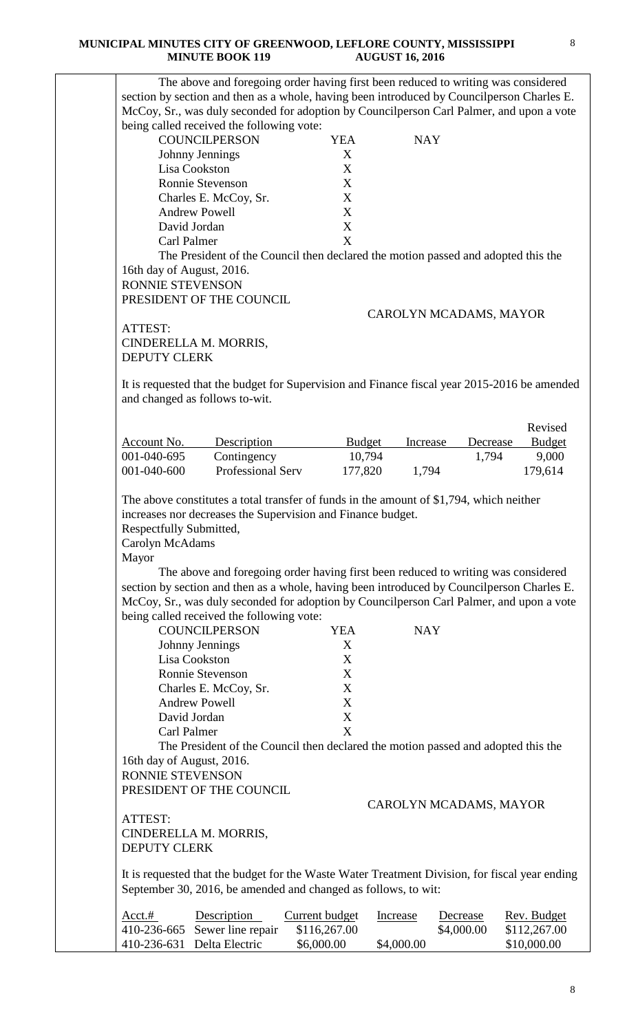#### **MUNICIPAL MINUTES CITY OF GREENWOOD, LEFLORE COUNTY, MISSISSIPPI MINUTE BOOK 119 AUGUST 16, 2016**

|                            |                                                                                                |                                                             |               |                        | The above and foregoing order having first been reduced to writing was considered |
|----------------------------|------------------------------------------------------------------------------------------------|-------------------------------------------------------------|---------------|------------------------|-----------------------------------------------------------------------------------|
|                            | section by section and then as a whole, having been introduced by Councilperson Charles E.     |                                                             |               |                        |                                                                                   |
|                            | McCoy, Sr., was duly seconded for adoption by Councilperson Carl Palmer, and upon a vote       |                                                             |               |                        |                                                                                   |
|                            | being called received the following vote:                                                      |                                                             |               |                        |                                                                                   |
|                            | <b>COUNCILPERSON</b>                                                                           | <b>YEA</b>                                                  |               | <b>NAY</b>             |                                                                                   |
|                            | Johnny Jennings                                                                                | X                                                           |               |                        |                                                                                   |
|                            | Lisa Cookston                                                                                  | X                                                           |               |                        |                                                                                   |
|                            | Ronnie Stevenson                                                                               | X                                                           |               |                        |                                                                                   |
|                            | Charles E. McCoy, Sr.                                                                          | X                                                           |               |                        |                                                                                   |
|                            | <b>Andrew Powell</b>                                                                           | X                                                           |               |                        |                                                                                   |
|                            | David Jordan                                                                                   | $\boldsymbol{X}$                                            |               |                        |                                                                                   |
| Carl Palmer                |                                                                                                | X                                                           |               |                        |                                                                                   |
|                            | The President of the Council then declared the motion passed and adopted this the              |                                                             |               |                        |                                                                                   |
| 16th day of August, 2016.  |                                                                                                |                                                             |               |                        |                                                                                   |
| RONNIE STEVENSON           |                                                                                                |                                                             |               |                        |                                                                                   |
|                            | PRESIDENT OF THE COUNCIL                                                                       |                                                             |               |                        |                                                                                   |
|                            |                                                                                                |                                                             |               |                        |                                                                                   |
|                            |                                                                                                |                                                             |               | CAROLYN MCADAMS, MAYOR |                                                                                   |
| ATTEST:                    |                                                                                                |                                                             |               |                        |                                                                                   |
|                            | CINDERELLA M. MORRIS,                                                                          |                                                             |               |                        |                                                                                   |
| <b>DEPUTY CLERK</b>        |                                                                                                |                                                             |               |                        |                                                                                   |
|                            |                                                                                                |                                                             |               |                        |                                                                                   |
|                            | It is requested that the budget for Supervision and Finance fiscal year 2015-2016 be amended   |                                                             |               |                        |                                                                                   |
|                            | and changed as follows to-wit.                                                                 |                                                             |               |                        |                                                                                   |
|                            |                                                                                                |                                                             |               |                        | Revised                                                                           |
|                            |                                                                                                |                                                             |               |                        |                                                                                   |
| Account No.                | Description                                                                                    |                                                             | <b>Budget</b> | Increase<br>Decrease   | <b>Budget</b>                                                                     |
| 001-040-695                | Contingency                                                                                    |                                                             | 10,794        | 1,794                  | 9,000                                                                             |
| 001-040-600                | <b>Professional Serv</b>                                                                       |                                                             | 177,820       | 1,794                  | 179,614                                                                           |
| Respectfully Submitted,    |                                                                                                | increases nor decreases the Supervision and Finance budget. |               |                        |                                                                                   |
| Carolyn McAdams<br>Mayor   |                                                                                                |                                                             |               |                        |                                                                                   |
|                            | The above and foregoing order having first been reduced to writing was considered              |                                                             |               |                        |                                                                                   |
|                            | section by section and then as a whole, having been introduced by Councilperson Charles E.     |                                                             |               |                        |                                                                                   |
|                            | McCoy, Sr., was duly seconded for adoption by Councilperson Carl Palmer, and upon a vote       |                                                             |               |                        |                                                                                   |
|                            | being called received the following vote:                                                      |                                                             |               |                        |                                                                                   |
|                            | <b>COUNCILPERSON</b>                                                                           | <b>YEA</b>                                                  |               | <b>NAY</b>             |                                                                                   |
|                            | Johnny Jennings                                                                                | X                                                           |               |                        |                                                                                   |
|                            | Lisa Cookston                                                                                  | X                                                           |               |                        |                                                                                   |
|                            | Ronnie Stevenson                                                                               | X                                                           |               |                        |                                                                                   |
|                            | Charles E. McCoy, Sr.                                                                          | X                                                           |               |                        |                                                                                   |
|                            | <b>Andrew Powell</b>                                                                           | X                                                           |               |                        |                                                                                   |
|                            | David Jordan                                                                                   | $\mathbf X$                                                 |               |                        |                                                                                   |
| Carl Palmer                |                                                                                                | X                                                           |               |                        |                                                                                   |
|                            | The President of the Council then declared the motion passed and adopted this the              |                                                             |               |                        |                                                                                   |
| 16th day of August, 2016.  |                                                                                                |                                                             |               |                        |                                                                                   |
| RONNIE STEVENSON           |                                                                                                |                                                             |               |                        |                                                                                   |
|                            | PRESIDENT OF THE COUNCIL                                                                       |                                                             |               |                        |                                                                                   |
|                            |                                                                                                |                                                             |               | CAROLYN MCADAMS, MAYOR |                                                                                   |
| ATTEST:                    |                                                                                                |                                                             |               |                        |                                                                                   |
|                            | CINDERELLA M. MORRIS,                                                                          |                                                             |               |                        |                                                                                   |
| <b>DEPUTY CLERK</b>        |                                                                                                |                                                             |               |                        |                                                                                   |
|                            |                                                                                                |                                                             |               |                        |                                                                                   |
|                            | It is requested that the budget for the Waste Water Treatment Division, for fiscal year ending |                                                             |               |                        |                                                                                   |
|                            | September 30, 2016, be amended and changed as follows, to wit:                                 |                                                             |               |                        |                                                                                   |
|                            |                                                                                                |                                                             |               |                        |                                                                                   |
| Acct.#                     | Description                                                                                    | <b>Current budget</b>                                       | Increase      | Decrease               | Rev. Budget                                                                       |
| 410-236-665<br>410-236-631 | Sewer line repair<br>Delta Electric                                                            | \$116,267.00<br>\$6,000.00                                  | \$4,000.00    | \$4,000.00             | \$112,267.00<br>\$10,000.00                                                       |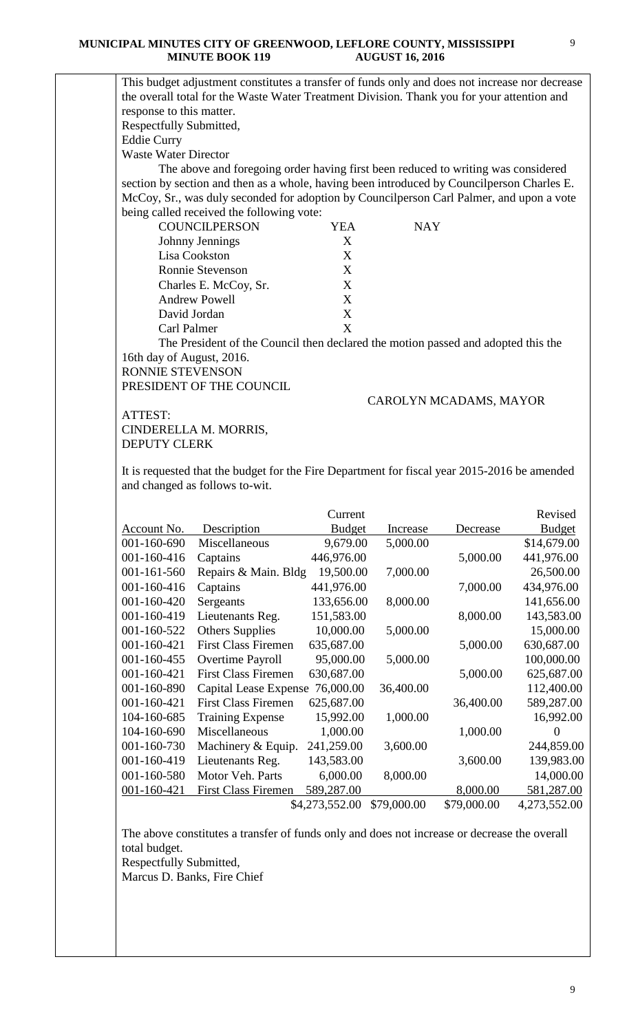#### **MUNICIPAL MINUTES CITY OF GREENWOOD, LEFLORE COUNTY, MISSISSIPPI MINUTE BOOK 119 AUGUST 16, 2016**

9

|                                               | This budget adjustment constitutes a transfer of funds only and does not increase nor decrease |                           |             |                        |                |
|-----------------------------------------------|------------------------------------------------------------------------------------------------|---------------------------|-------------|------------------------|----------------|
|                                               | the overall total for the Waste Water Treatment Division. Thank you for your attention and     |                           |             |                        |                |
| response to this matter.                      |                                                                                                |                           |             |                        |                |
| Respectfully Submitted,                       |                                                                                                |                           |             |                        |                |
| <b>Eddie Curry</b>                            |                                                                                                |                           |             |                        |                |
| <b>Waste Water Director</b>                   |                                                                                                |                           |             |                        |                |
|                                               | The above and foregoing order having first been reduced to writing was considered              |                           |             |                        |                |
|                                               | section by section and then as a whole, having been introduced by Councilperson Charles E.     |                           |             |                        |                |
|                                               | McCoy, Sr., was duly seconded for adoption by Councilperson Carl Palmer, and upon a vote       |                           |             |                        |                |
|                                               | being called received the following vote:                                                      |                           |             |                        |                |
|                                               | <b>COUNCILPERSON</b>                                                                           | <b>YEA</b>                | <b>NAY</b>  |                        |                |
|                                               | Johnny Jennings                                                                                | X                         |             |                        |                |
|                                               | Lisa Cookston<br><b>Ronnie Stevenson</b>                                                       | X<br>X                    |             |                        |                |
|                                               |                                                                                                | X                         |             |                        |                |
|                                               | Charles E. McCoy, Sr.<br><b>Andrew Powell</b>                                                  | X                         |             |                        |                |
|                                               | David Jordan                                                                                   | $\boldsymbol{\mathrm{X}}$ |             |                        |                |
| Carl Palmer                                   |                                                                                                | X                         |             |                        |                |
|                                               |                                                                                                |                           |             |                        |                |
|                                               | The President of the Council then declared the motion passed and adopted this the              |                           |             |                        |                |
| 16th day of August, 2016.<br>RONNIE STEVENSON |                                                                                                |                           |             |                        |                |
|                                               | PRESIDENT OF THE COUNCIL                                                                       |                           |             |                        |                |
|                                               |                                                                                                |                           |             |                        |                |
|                                               |                                                                                                |                           |             | CAROLYN MCADAMS, MAYOR |                |
| ATTEST:                                       |                                                                                                |                           |             |                        |                |
|                                               | CINDERELLA M. MORRIS,                                                                          |                           |             |                        |                |
| <b>DEPUTY CLERK</b>                           |                                                                                                |                           |             |                        |                |
|                                               | It is requested that the budget for the Fire Department for fiscal year 2015-2016 be amended   |                           |             |                        |                |
|                                               | and changed as follows to-wit.                                                                 |                           |             |                        |                |
|                                               |                                                                                                |                           |             |                        |                |
|                                               |                                                                                                | Current                   |             |                        | Revised        |
|                                               | <b>Account No.</b> Description                                                                 | <b>Budget</b>             | Increase    | Decrease               | <b>Budget</b>  |
| 001-160-690                                   | Miscellaneous                                                                                  | 9,679.00                  | 5,000.00    |                        | \$14,679.00    |
| 001-160-416                                   | Captains                                                                                       | 446,976.00                |             | 5,000.00               | 441,976.00     |
| 001-161-560                                   | Repairs & Main. Bldg                                                                           | 19,500.00                 | 7,000.00    |                        | 26,500.00      |
| 001-160-416                                   | Captains                                                                                       | 441,976.00                |             | 7,000.00               | 434,976.00     |
| 001-160-420                                   | Sergeants                                                                                      | 133,656.00                | 8,000.00    |                        | 141,656.00     |
| 001-160-419                                   | Lieutenants Reg.                                                                               | 151,583.00                |             | 8,000.00               | 143,583.00     |
| 001-160-522                                   | <b>Others Supplies</b>                                                                         | 10,000.00                 | 5,000.00    |                        | 15,000.00      |
| 001-160-421                                   | <b>First Class Firemen</b>                                                                     | 635,687.00                |             | 5,000.00               | 630,687.00     |
| 001-160-455                                   | Overtime Payroll                                                                               | 95,000.00                 | 5,000.00    |                        | 100,000.00     |
| 001-160-421                                   | <b>First Class Firemen</b>                                                                     | 630,687.00                |             | 5,000.00               | 625,687.00     |
| 001-160-890                                   | Capital Lease Expense                                                                          | 76,000.00                 | 36,400.00   |                        | 112,400.00     |
| 001-160-421                                   | <b>First Class Firemen</b>                                                                     | 625,687.00                |             | 36,400.00              | 589,287.00     |
| 104-160-685                                   | <b>Training Expense</b>                                                                        | 15,992.00                 | 1,000.00    |                        | 16,992.00      |
| 104-160-690                                   | Miscellaneous                                                                                  | 1,000.00                  |             | 1,000.00               | $\overline{0}$ |
| 001-160-730                                   | Machinery & Equip.                                                                             | 241,259.00                | 3,600.00    |                        | 244,859.00     |
| 001-160-419                                   | Lieutenants Reg.                                                                               | 143,583.00                |             | 3,600.00               | 139,983.00     |
| 001-160-580                                   | Motor Veh. Parts                                                                               | 6,000.00                  | 8,000.00    |                        | 14,000.00      |
| $001 - 160 - 421$                             | <b>First Class Firemen</b>                                                                     | 589,287.00                |             | 8,000.00               | 581,287.00     |
|                                               |                                                                                                | \$4,273,552.00            | \$79,000.00 | \$79,000.00            | 4,273,552.00   |
|                                               |                                                                                                |                           |             |                        |                |
|                                               | The above constitutes a transfer of funds only and does not increase or decrease the overall   |                           |             |                        |                |
| total budget.                                 |                                                                                                |                           |             |                        |                |
| Respectfully Submitted,                       |                                                                                                |                           |             |                        |                |
|                                               | Marcus D. Banks, Fire Chief                                                                    |                           |             |                        |                |
|                                               |                                                                                                |                           |             |                        |                |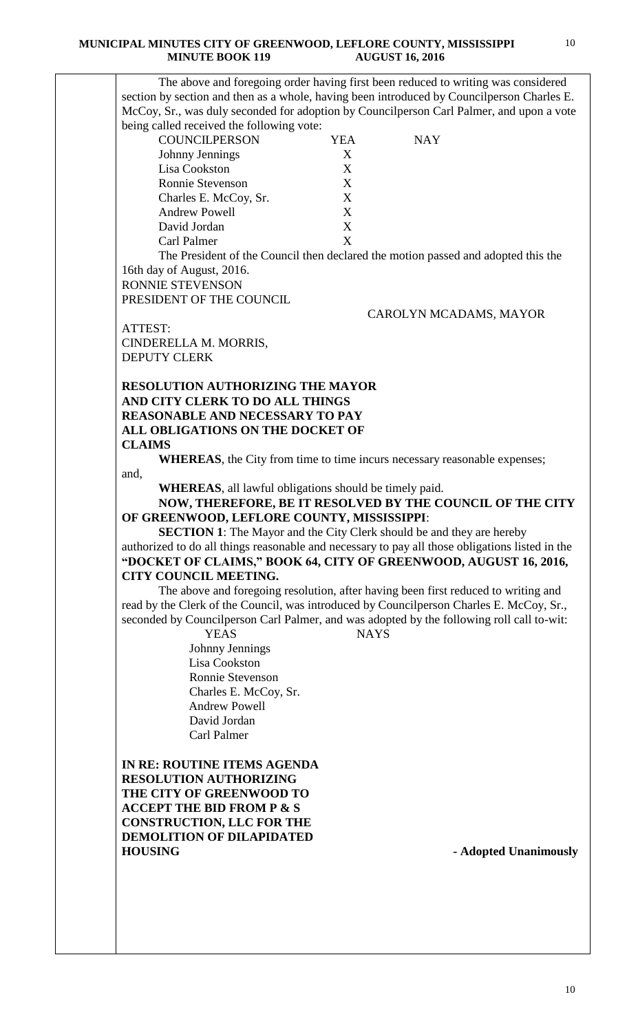| The above and foregoing order having first been reduced to writing was considered<br>section by section and then as a whole, having been introduced by Councilperson Charles E.                                                                                                                                                                                                                                                                                                                                                                                                                                                                                          |             |                                                                                    |
|--------------------------------------------------------------------------------------------------------------------------------------------------------------------------------------------------------------------------------------------------------------------------------------------------------------------------------------------------------------------------------------------------------------------------------------------------------------------------------------------------------------------------------------------------------------------------------------------------------------------------------------------------------------------------|-------------|------------------------------------------------------------------------------------|
|                                                                                                                                                                                                                                                                                                                                                                                                                                                                                                                                                                                                                                                                          |             |                                                                                    |
|                                                                                                                                                                                                                                                                                                                                                                                                                                                                                                                                                                                                                                                                          |             |                                                                                    |
| McCoy, Sr., was duly seconded for adoption by Councilperson Carl Palmer, and upon a vote                                                                                                                                                                                                                                                                                                                                                                                                                                                                                                                                                                                 |             |                                                                                    |
| being called received the following vote:                                                                                                                                                                                                                                                                                                                                                                                                                                                                                                                                                                                                                                |             |                                                                                    |
| <b>COUNCILPERSON</b>                                                                                                                                                                                                                                                                                                                                                                                                                                                                                                                                                                                                                                                     | <b>YEA</b>  | <b>NAY</b>                                                                         |
| Johnny Jennings                                                                                                                                                                                                                                                                                                                                                                                                                                                                                                                                                                                                                                                          | X           |                                                                                    |
| Lisa Cookston                                                                                                                                                                                                                                                                                                                                                                                                                                                                                                                                                                                                                                                            | X           |                                                                                    |
| Ronnie Stevenson                                                                                                                                                                                                                                                                                                                                                                                                                                                                                                                                                                                                                                                         | X           |                                                                                    |
| Charles E. McCoy, Sr.                                                                                                                                                                                                                                                                                                                                                                                                                                                                                                                                                                                                                                                    | X           |                                                                                    |
| <b>Andrew Powell</b>                                                                                                                                                                                                                                                                                                                                                                                                                                                                                                                                                                                                                                                     | X           |                                                                                    |
|                                                                                                                                                                                                                                                                                                                                                                                                                                                                                                                                                                                                                                                                          |             |                                                                                    |
| David Jordan                                                                                                                                                                                                                                                                                                                                                                                                                                                                                                                                                                                                                                                             | X           |                                                                                    |
| Carl Palmer                                                                                                                                                                                                                                                                                                                                                                                                                                                                                                                                                                                                                                                              | X           |                                                                                    |
|                                                                                                                                                                                                                                                                                                                                                                                                                                                                                                                                                                                                                                                                          |             | The President of the Council then declared the motion passed and adopted this the  |
| 16th day of August, 2016.                                                                                                                                                                                                                                                                                                                                                                                                                                                                                                                                                                                                                                                |             |                                                                                    |
| <b>RONNIE STEVENSON</b>                                                                                                                                                                                                                                                                                                                                                                                                                                                                                                                                                                                                                                                  |             |                                                                                    |
| PRESIDENT OF THE COUNCIL                                                                                                                                                                                                                                                                                                                                                                                                                                                                                                                                                                                                                                                 |             |                                                                                    |
|                                                                                                                                                                                                                                                                                                                                                                                                                                                                                                                                                                                                                                                                          |             | CAROLYN MCADAMS, MAYOR                                                             |
| ATTEST:                                                                                                                                                                                                                                                                                                                                                                                                                                                                                                                                                                                                                                                                  |             |                                                                                    |
| CINDERELLA M. MORRIS,                                                                                                                                                                                                                                                                                                                                                                                                                                                                                                                                                                                                                                                    |             |                                                                                    |
| <b>DEPUTY CLERK</b>                                                                                                                                                                                                                                                                                                                                                                                                                                                                                                                                                                                                                                                      |             |                                                                                    |
|                                                                                                                                                                                                                                                                                                                                                                                                                                                                                                                                                                                                                                                                          |             |                                                                                    |
| <b>RESOLUTION AUTHORIZING THE MAYOR</b>                                                                                                                                                                                                                                                                                                                                                                                                                                                                                                                                                                                                                                  |             |                                                                                    |
| AND CITY CLERK TO DO ALL THINGS                                                                                                                                                                                                                                                                                                                                                                                                                                                                                                                                                                                                                                          |             |                                                                                    |
| <b>REASONABLE AND NECESSARY TO PAY</b>                                                                                                                                                                                                                                                                                                                                                                                                                                                                                                                                                                                                                                   |             |                                                                                    |
| ALL OBLIGATIONS ON THE DOCKET OF                                                                                                                                                                                                                                                                                                                                                                                                                                                                                                                                                                                                                                         |             |                                                                                    |
| <b>CLAIMS</b>                                                                                                                                                                                                                                                                                                                                                                                                                                                                                                                                                                                                                                                            |             |                                                                                    |
|                                                                                                                                                                                                                                                                                                                                                                                                                                                                                                                                                                                                                                                                          |             |                                                                                    |
|                                                                                                                                                                                                                                                                                                                                                                                                                                                                                                                                                                                                                                                                          |             | WHEREAS, the City from time to time incurs necessary reasonable expenses;          |
| and,                                                                                                                                                                                                                                                                                                                                                                                                                                                                                                                                                                                                                                                                     |             |                                                                                    |
|                                                                                                                                                                                                                                                                                                                                                                                                                                                                                                                                                                                                                                                                          |             |                                                                                    |
| <b>WHEREAS</b> , all lawful obligations should be timely paid.                                                                                                                                                                                                                                                                                                                                                                                                                                                                                                                                                                                                           |             |                                                                                    |
|                                                                                                                                                                                                                                                                                                                                                                                                                                                                                                                                                                                                                                                                          |             |                                                                                    |
|                                                                                                                                                                                                                                                                                                                                                                                                                                                                                                                                                                                                                                                                          |             |                                                                                    |
| <b>SECTION 1:</b> The Mayor and the City Clerk should be and they are hereby                                                                                                                                                                                                                                                                                                                                                                                                                                                                                                                                                                                             |             |                                                                                    |
|                                                                                                                                                                                                                                                                                                                                                                                                                                                                                                                                                                                                                                                                          |             |                                                                                    |
|                                                                                                                                                                                                                                                                                                                                                                                                                                                                                                                                                                                                                                                                          |             |                                                                                    |
|                                                                                                                                                                                                                                                                                                                                                                                                                                                                                                                                                                                                                                                                          |             |                                                                                    |
|                                                                                                                                                                                                                                                                                                                                                                                                                                                                                                                                                                                                                                                                          |             |                                                                                    |
|                                                                                                                                                                                                                                                                                                                                                                                                                                                                                                                                                                                                                                                                          |             | The above and foregoing resolution, after having been first reduced to writing and |
|                                                                                                                                                                                                                                                                                                                                                                                                                                                                                                                                                                                                                                                                          |             |                                                                                    |
|                                                                                                                                                                                                                                                                                                                                                                                                                                                                                                                                                                                                                                                                          |             |                                                                                    |
| <b>YEAS</b>                                                                                                                                                                                                                                                                                                                                                                                                                                                                                                                                                                                                                                                              | <b>NAYS</b> |                                                                                    |
| Johnny Jennings                                                                                                                                                                                                                                                                                                                                                                                                                                                                                                                                                                                                                                                          |             |                                                                                    |
| Lisa Cookston                                                                                                                                                                                                                                                                                                                                                                                                                                                                                                                                                                                                                                                            |             |                                                                                    |
| Ronnie Stevenson                                                                                                                                                                                                                                                                                                                                                                                                                                                                                                                                                                                                                                                         |             |                                                                                    |
| Charles E. McCoy, Sr.                                                                                                                                                                                                                                                                                                                                                                                                                                                                                                                                                                                                                                                    |             |                                                                                    |
| <b>Andrew Powell</b>                                                                                                                                                                                                                                                                                                                                                                                                                                                                                                                                                                                                                                                     |             |                                                                                    |
| David Jordan                                                                                                                                                                                                                                                                                                                                                                                                                                                                                                                                                                                                                                                             |             |                                                                                    |
| Carl Palmer                                                                                                                                                                                                                                                                                                                                                                                                                                                                                                                                                                                                                                                              |             |                                                                                    |
|                                                                                                                                                                                                                                                                                                                                                                                                                                                                                                                                                                                                                                                                          |             |                                                                                    |
|                                                                                                                                                                                                                                                                                                                                                                                                                                                                                                                                                                                                                                                                          |             |                                                                                    |
|                                                                                                                                                                                                                                                                                                                                                                                                                                                                                                                                                                                                                                                                          |             |                                                                                    |
|                                                                                                                                                                                                                                                                                                                                                                                                                                                                                                                                                                                                                                                                          |             |                                                                                    |
|                                                                                                                                                                                                                                                                                                                                                                                                                                                                                                                                                                                                                                                                          |             |                                                                                    |
|                                                                                                                                                                                                                                                                                                                                                                                                                                                                                                                                                                                                                                                                          |             |                                                                                    |
|                                                                                                                                                                                                                                                                                                                                                                                                                                                                                                                                                                                                                                                                          |             |                                                                                    |
|                                                                                                                                                                                                                                                                                                                                                                                                                                                                                                                                                                                                                                                                          |             | NOW, THEREFORE, BE IT RESOLVED BY THE COUNCIL OF THE CITY                          |
|                                                                                                                                                                                                                                                                                                                                                                                                                                                                                                                                                                                                                                                                          |             | - Adopted Unanimously                                                              |
| OF GREENWOOD, LEFLORE COUNTY, MISSISSIPPI:<br>authorized to do all things reasonable and necessary to pay all those obligations listed in the<br>"DOCKET OF CLAIMS," BOOK 64, CITY OF GREENWOOD, AUGUST 16, 2016,<br><b>CITY COUNCIL MEETING.</b><br>read by the Clerk of the Council, was introduced by Councilperson Charles E. McCoy, Sr.,<br>seconded by Councilperson Carl Palmer, and was adopted by the following roll call to-wit:<br>IN RE: ROUTINE ITEMS AGENDA<br><b>RESOLUTION AUTHORIZING</b><br>THE CITY OF GREENWOOD TO<br><b>ACCEPT THE BID FROM P &amp; S</b><br><b>CONSTRUCTION, LLC FOR THE</b><br><b>DEMOLITION OF DILAPIDATED</b><br><b>HOUSING</b> |             |                                                                                    |
|                                                                                                                                                                                                                                                                                                                                                                                                                                                                                                                                                                                                                                                                          |             |                                                                                    |
|                                                                                                                                                                                                                                                                                                                                                                                                                                                                                                                                                                                                                                                                          |             |                                                                                    |
|                                                                                                                                                                                                                                                                                                                                                                                                                                                                                                                                                                                                                                                                          |             |                                                                                    |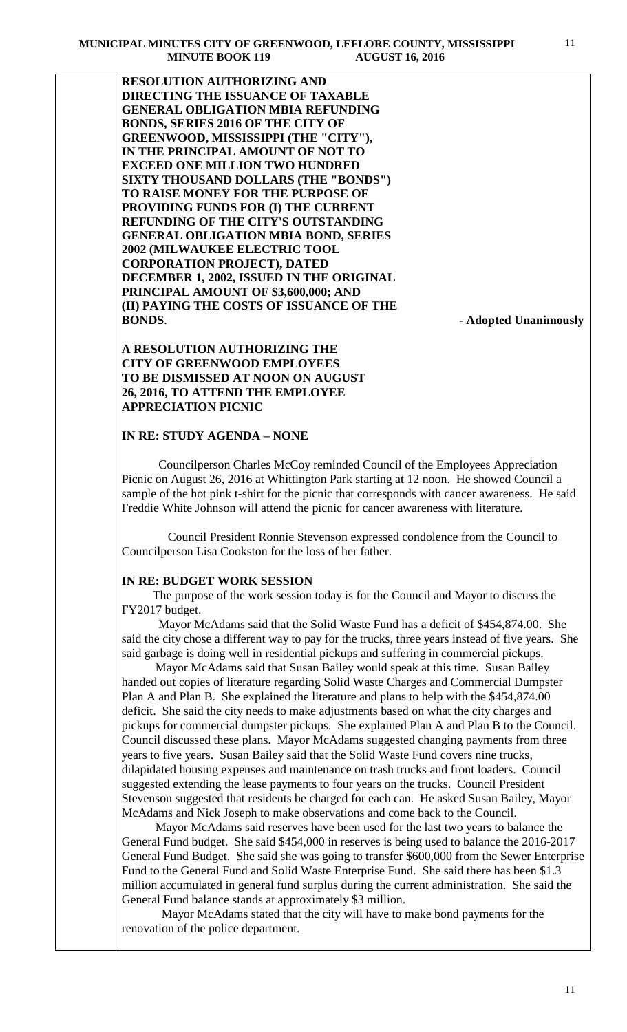**RESOLUTION AUTHORIZING AND DIRECTING THE ISSUANCE OF TAXABLE GENERAL OBLIGATION MBIA REFUNDING BONDS, SERIES 2016 OF THE CITY OF GREENWOOD, MISSISSIPPI (THE "CITY"), IN THE PRINCIPAL AMOUNT OF NOT TO EXCEED ONE MILLION TWO HUNDRED SIXTY THOUSAND DOLLARS (THE "BONDS") TO RAISE MONEY FOR THE PURPOSE OF PROVIDING FUNDS FOR (I) THE CURRENT REFUNDING OF THE CITY'S OUTSTANDING GENERAL OBLIGATION MBIA BOND, SERIES 2002 (MILWAUKEE ELECTRIC TOOL CORPORATION PROJECT), DATED DECEMBER 1, 2002, ISSUED IN THE ORIGINAL PRINCIPAL AMOUNT OF \$3,600,000; AND (II) PAYING THE COSTS OF ISSUANCE OF THE BONDS**. **- Adopted Unanimously**

**A RESOLUTION AUTHORIZING THE CITY OF GREENWOOD EMPLOYEES TO BE DISMISSED AT NOON ON AUGUST 26, 2016, TO ATTEND THE EMPLOYEE APPRECIATION PICNIC**

### **IN RE: STUDY AGENDA – NONE**

Councilperson Charles McCoy reminded Council of the Employees Appreciation Picnic on August 26, 2016 at Whittington Park starting at 12 noon. He showed Council a sample of the hot pink t-shirt for the picnic that corresponds with cancer awareness. He said Freddie White Johnson will attend the picnic for cancer awareness with literature.

 Council President Ronnie Stevenson expressed condolence from the Council to Councilperson Lisa Cookston for the loss of her father.

#### **IN RE: BUDGET WORK SESSION**

 The purpose of the work session today is for the Council and Mayor to discuss the FY2017 budget.

 Mayor McAdams said that the Solid Waste Fund has a deficit of \$454,874.00. She said the city chose a different way to pay for the trucks, three years instead of five years. She said garbage is doing well in residential pickups and suffering in commercial pickups.

 Mayor McAdams said that Susan Bailey would speak at this time. Susan Bailey handed out copies of literature regarding Solid Waste Charges and Commercial Dumpster Plan A and Plan B. She explained the literature and plans to help with the \$454,874.00 deficit. She said the city needs to make adjustments based on what the city charges and pickups for commercial dumpster pickups. She explained Plan A and Plan B to the Council. Council discussed these plans. Mayor McAdams suggested changing payments from three years to five years. Susan Bailey said that the Solid Waste Fund covers nine trucks, dilapidated housing expenses and maintenance on trash trucks and front loaders. Council suggested extending the lease payments to four years on the trucks. Council President Stevenson suggested that residents be charged for each can. He asked Susan Bailey, Mayor McAdams and Nick Joseph to make observations and come back to the Council.

 Mayor McAdams said reserves have been used for the last two years to balance the General Fund budget. She said \$454,000 in reserves is being used to balance the 2016-2017 General Fund Budget. She said she was going to transfer \$600,000 from the Sewer Enterprise Fund to the General Fund and Solid Waste Enterprise Fund. She said there has been \$1.3 million accumulated in general fund surplus during the current administration. She said the General Fund balance stands at approximately \$3 million.

 Mayor McAdams stated that the city will have to make bond payments for the renovation of the police department.